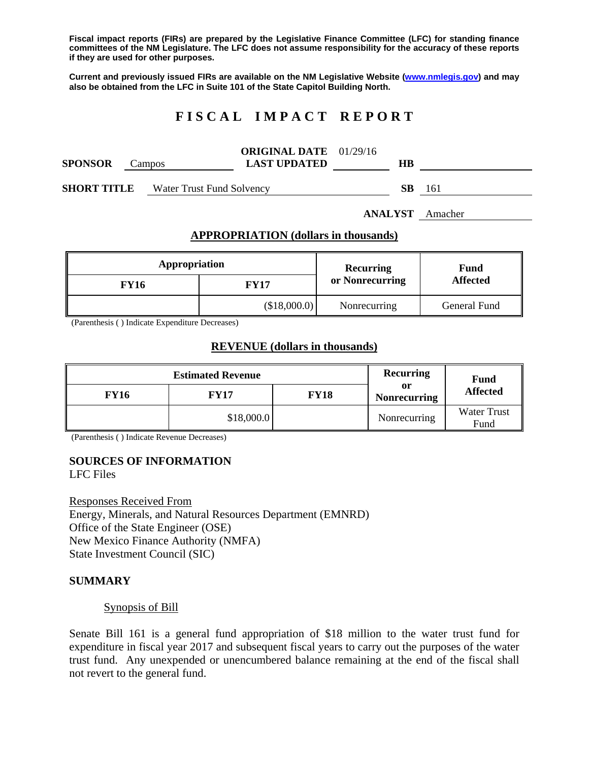**Fiscal impact reports (FIRs) are prepared by the Legislative Finance Committee (LFC) for standing finance committees of the NM Legislature. The LFC does not assume responsibility for the accuracy of these reports if they are used for other purposes.** 

**Current and previously issued FIRs are available on the NM Legislative Website (www.nmlegis.gov) and may also be obtained from the LFC in Suite 101 of the State Capitol Building North.** 

## **F I S C A L I M P A C T R E P O R T**

| <b>SPONSOR</b>     | Campos                    | <b>ORIGINAL DATE</b> 01/29/16<br><b>LAST UPDATED</b> | HВ |     |
|--------------------|---------------------------|------------------------------------------------------|----|-----|
| <b>SHORT TITLE</b> | Water Trust Fund Solvency |                                                      | SВ | 161 |

**ANALYST** Amacher

#### **APPROPRIATION (dollars in thousands)**

| Appropriation |              | Recurring       | Fund<br><b>Affected</b> |  |
|---------------|--------------|-----------------|-------------------------|--|
| <b>FY16</b>   | FY17         | or Nonrecurring |                         |  |
|               | (\$18,000.0) | Nonrecurring    | General Fund            |  |

(Parenthesis ( ) Indicate Expenditure Decreases)

#### **REVENUE (dollars in thousands)**

|             | <b>Estimated Revenue</b> | <b>Recurring</b> | <b>Fund</b>               |                            |
|-------------|--------------------------|------------------|---------------------------|----------------------------|
| <b>FY16</b> | <b>FY17</b>              | <b>FY18</b>      | or<br><b>Nonrecurring</b> | <b>Affected</b>            |
|             | \$18,000.0               |                  | Nonrecurring              | <b>Water Trust</b><br>Fund |

(Parenthesis ( ) Indicate Revenue Decreases)

# **SOURCES OF INFORMATION**

LFC Files

Responses Received From Energy, Minerals, and Natural Resources Department (EMNRD) Office of the State Engineer (OSE) New Mexico Finance Authority (NMFA) State Investment Council (SIC)

#### **SUMMARY**

#### Synopsis of Bill

Senate Bill 161 is a general fund appropriation of \$18 million to the water trust fund for expenditure in fiscal year 2017 and subsequent fiscal years to carry out the purposes of the water trust fund. Any unexpended or unencumbered balance remaining at the end of the fiscal shall not revert to the general fund.